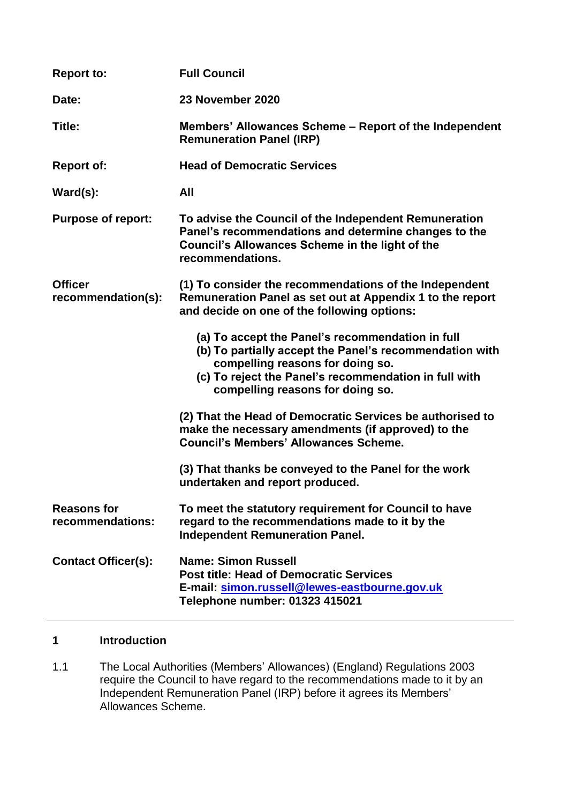| <b>Report to:</b>                      | <b>Full Council</b>                                                                                                                                                                                                                          |
|----------------------------------------|----------------------------------------------------------------------------------------------------------------------------------------------------------------------------------------------------------------------------------------------|
| Date:                                  | 23 November 2020                                                                                                                                                                                                                             |
| Title:                                 | Members' Allowances Scheme – Report of the Independent<br><b>Remuneration Panel (IRP)</b>                                                                                                                                                    |
| <b>Report of:</b>                      | <b>Head of Democratic Services</b>                                                                                                                                                                                                           |
| Ward(s):                               | <b>All</b>                                                                                                                                                                                                                                   |
| <b>Purpose of report:</b>              | To advise the Council of the Independent Remuneration<br>Panel's recommendations and determine changes to the<br><b>Council's Allowances Scheme in the light of the</b><br>recommendations.                                                  |
| <b>Officer</b><br>recommendation(s):   | (1) To consider the recommendations of the Independent<br>Remuneration Panel as set out at Appendix 1 to the report<br>and decide on one of the following options:                                                                           |
|                                        | (a) To accept the Panel's recommendation in full<br>(b) To partially accept the Panel's recommendation with<br>compelling reasons for doing so.<br>(c) To reject the Panel's recommendation in full with<br>compelling reasons for doing so. |
|                                        | (2) That the Head of Democratic Services be authorised to<br>make the necessary amendments (if approved) to the<br><b>Council's Members' Allowances Scheme.</b>                                                                              |
|                                        | (3) That thanks be conveyed to the Panel for the work<br>undertaken and report produced.                                                                                                                                                     |
| <b>Reasons for</b><br>recommendations: | To meet the statutory requirement for Council to have<br>regard to the recommendations made to it by the<br><b>Independent Remuneration Panel.</b>                                                                                           |
| <b>Contact Officer(s):</b>             | Name: Simon Russell<br><b>Post title: Head of Democratic Services</b><br>E-mail: simon.russell@lewes-eastbourne.gov.uk<br>Telephone number: 01323 415021                                                                                     |

# **1 Introduction**

1.1 The Local Authorities (Members' Allowances) (England) Regulations 2003 require the Council to have regard to the recommendations made to it by an Independent Remuneration Panel (IRP) before it agrees its Members' Allowances Scheme.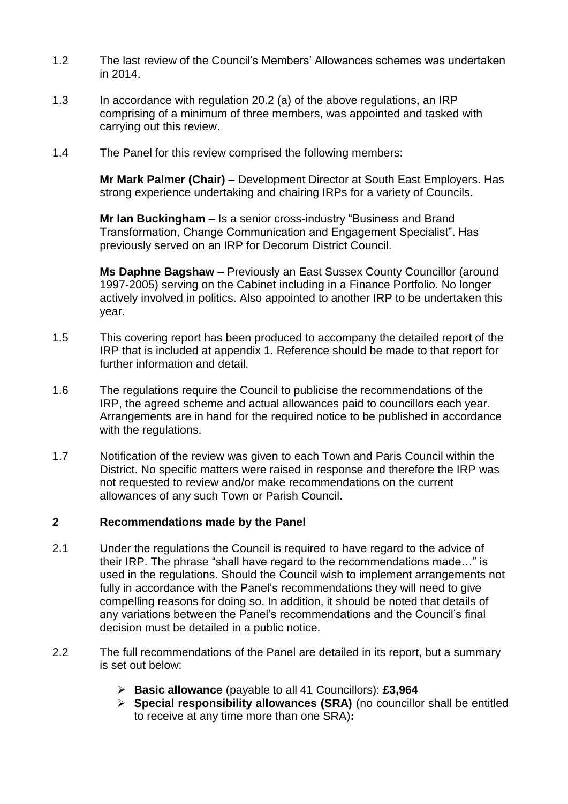- 1.2 The last review of the Council's Members' Allowances schemes was undertaken in 2014.
- 1.3 In accordance with regulation 20.2 (a) of the above regulations, an IRP comprising of a minimum of three members, was appointed and tasked with carrying out this review.
- 1.4 The Panel for this review comprised the following members:

**Mr Mark Palmer (Chair) –** Development Director at South East Employers. Has strong experience undertaking and chairing IRPs for a variety of Councils.

**Mr Ian Buckingham** – Is a senior cross-industry "Business and Brand Transformation, Change Communication and Engagement Specialist". Has previously served on an IRP for Decorum District Council.

**Ms Daphne Bagshaw** – Previously an East Sussex County Councillor (around 1997-2005) serving on the Cabinet including in a Finance Portfolio. No longer actively involved in politics. Also appointed to another IRP to be undertaken this year.

- 1.5 This covering report has been produced to accompany the detailed report of the IRP that is included at appendix 1. Reference should be made to that report for further information and detail.
- 1.6 The regulations require the Council to publicise the recommendations of the IRP, the agreed scheme and actual allowances paid to councillors each year. Arrangements are in hand for the required notice to be published in accordance with the regulations.
- 1.7 Notification of the review was given to each Town and Paris Council within the District. No specific matters were raised in response and therefore the IRP was not requested to review and/or make recommendations on the current allowances of any such Town or Parish Council.

## **2 Recommendations made by the Panel**

- 2.1 Under the regulations the Council is required to have regard to the advice of their IRP. The phrase "shall have regard to the recommendations made…" is used in the regulations. Should the Council wish to implement arrangements not fully in accordance with the Panel's recommendations they will need to give compelling reasons for doing so. In addition, it should be noted that details of any variations between the Panel's recommendations and the Council's final decision must be detailed in a public notice.
- 2.2 The full recommendations of the Panel are detailed in its report, but a summary is set out below:
	- **Basic allowance** (payable to all 41 Councillors): **£3,964**
	- **Special responsibility allowances (SRA)** (no councillor shall be entitled to receive at any time more than one SRA)**:**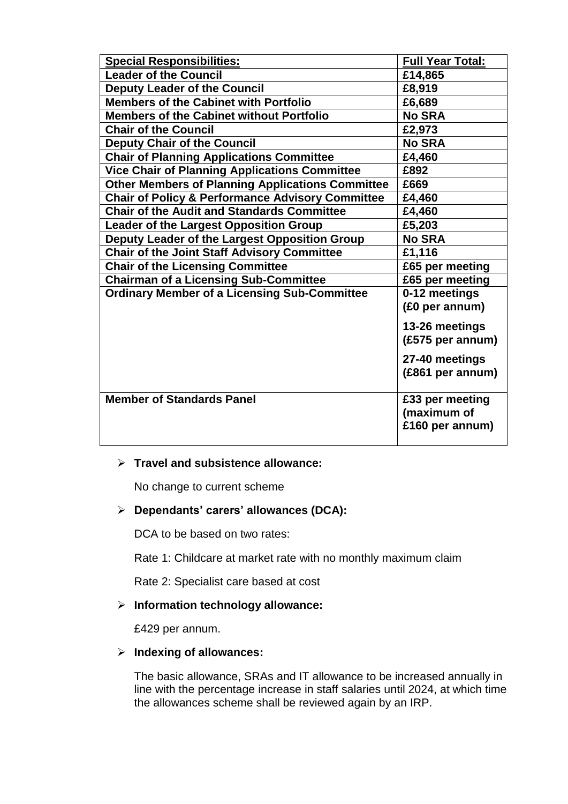| <b>Special Responsibilities:</b>                            | <b>Full Year Total:</b> |
|-------------------------------------------------------------|-------------------------|
| <b>Leader of the Council</b>                                | £14,865                 |
| <b>Deputy Leader of the Council</b>                         | £8,919                  |
| <b>Members of the Cabinet with Portfolio</b>                | £6,689                  |
| <b>Members of the Cabinet without Portfolio</b>             | <b>No SRA</b>           |
| <b>Chair of the Council</b>                                 | £2,973                  |
| <b>Deputy Chair of the Council</b>                          | <b>No SRA</b>           |
| <b>Chair of Planning Applications Committee</b>             | £4,460                  |
| <b>Vice Chair of Planning Applications Committee</b>        | £892                    |
| <b>Other Members of Planning Applications Committee</b>     | £669                    |
| <b>Chair of Policy &amp; Performance Advisory Committee</b> | £4,460                  |
| <b>Chair of the Audit and Standards Committee</b>           | £4,460                  |
| <b>Leader of the Largest Opposition Group</b>               | £5,203                  |
| Deputy Leader of the Largest Opposition Group               | <b>No SRA</b>           |
| <b>Chair of the Joint Staff Advisory Committee</b>          | £1,116                  |
| <b>Chair of the Licensing Committee</b>                     | £65 per meeting         |
| <b>Chairman of a Licensing Sub-Committee</b>                | £65 per meeting         |
| <b>Ordinary Member of a Licensing Sub-Committee</b>         | 0-12 meetings           |
|                                                             | (£0 per annum)          |
|                                                             | 13-26 meetings          |
|                                                             | (£575 per annum)        |
|                                                             | 27-40 meetings          |
|                                                             | (£861 per annum)        |
|                                                             |                         |
| <b>Member of Standards Panel</b>                            | £33 per meeting         |
|                                                             | (maximum of             |
|                                                             | £160 per annum)         |
|                                                             |                         |

#### **Travel and subsistence allowance:**

No change to current scheme

## **Dependants' carers' allowances (DCA):**

DCA to be based on two rates:

Rate 1: Childcare at market rate with no monthly maximum claim

Rate 2: Specialist care based at cost

## **Information technology allowance:**

£429 per annum.

#### **Indexing of allowances:**

The basic allowance, SRAs and IT allowance to be increased annually in line with the percentage increase in staff salaries until 2024, at which time the allowances scheme shall be reviewed again by an IRP.